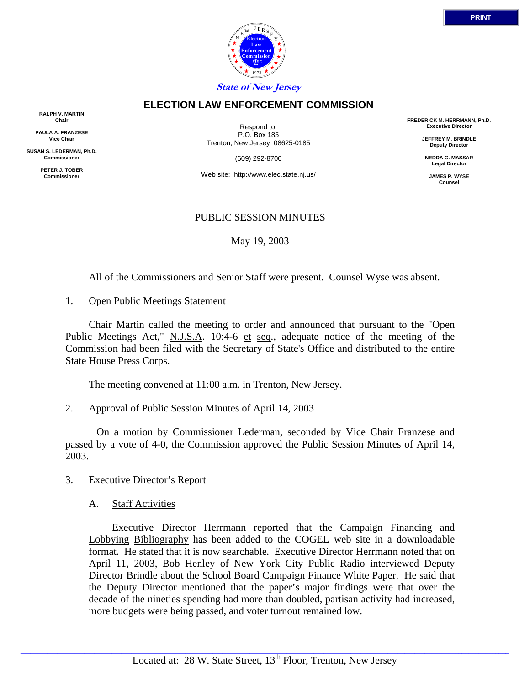

### **ELECTION LAW ENFORCEMENT COMMISSION**

**RALPH V. MARTIN Chair**

**PAULA A. FRANZESE Vice Chair**

**SUSAN S. LEDERMAN, Ph.D. Commissioner**

> **PETER J. TOBER Commissioner**

Respond to: P.O. Box 185 Trenton, New Jersey 08625-0185

(609) 292-8700

Web site: http://www.elec.state.nj.us/

## PUBLIC SESSION MINUTES

# May 19, 2003

All of the Commissioners and Senior Staff were present. Counsel Wyse was absent.

#### 1. Open Public Meetings Statement

 Chair Martin called the meeting to order and announced that pursuant to the "Open Public Meetings Act," N.J.S.A. 10:4-6 et seq., adequate notice of the meeting of the Commission had been filed with the Secretary of State's Office and distributed to the entire State House Press Corps.

The meeting convened at 11:00 a.m. in Trenton, New Jersey.

## 2. Approval of Public Session Minutes of April 14, 2003

 On a motion by Commissioner Lederman, seconded by Vice Chair Franzese and passed by a vote of 4-0, the Commission approved the Public Session Minutes of April 14, 2003.

## 3. Executive Director's Report

## A. Staff Activities

 Executive Director Herrmann reported that the Campaign Financing and Lobbying Bibliography has been added to the COGEL web site in a downloadable format. He stated that it is now searchable. Executive Director Herrmann noted that on April 11, 2003, Bob Henley of New York City Public Radio interviewed Deputy Director Brindle about the School Board Campaign Finance White Paper. He said that the Deputy Director mentioned that the paper's major findings were that over the decade of the nineties spending had more than doubled, partisan activity had increased, more budgets were being passed, and voter turnout remained low.

**FREDERICK M. HERRMANN, Ph.D. Executive Director**

> **JEFFREY M. BRINDLE Deputy Director**

**NEDDA G. MASSAR Legal Director**

**JAMES P. WYSE Counsel**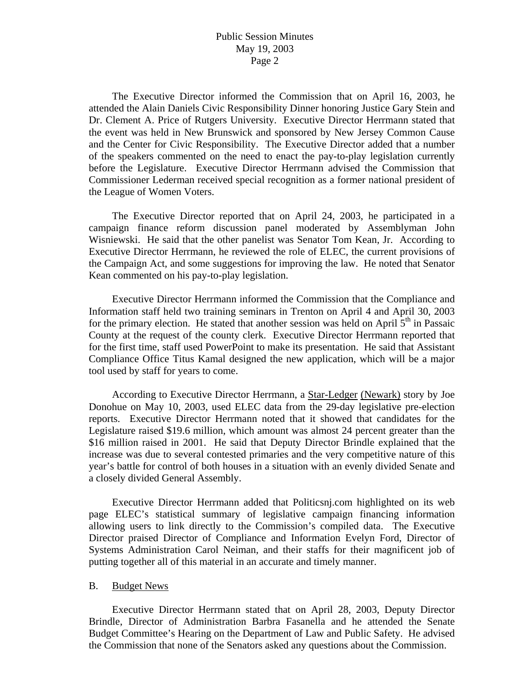The Executive Director informed the Commission that on April 16, 2003, he attended the Alain Daniels Civic Responsibility Dinner honoring Justice Gary Stein and Dr. Clement A. Price of Rutgers University. Executive Director Herrmann stated that the event was held in New Brunswick and sponsored by New Jersey Common Cause and the Center for Civic Responsibility. The Executive Director added that a number of the speakers commented on the need to enact the pay-to-play legislation currently before the Legislature. Executive Director Herrmann advised the Commission that Commissioner Lederman received special recognition as a former national president of the League of Women Voters.

 The Executive Director reported that on April 24, 2003, he participated in a campaign finance reform discussion panel moderated by Assemblyman John Wisniewski. He said that the other panelist was Senator Tom Kean, Jr. According to Executive Director Herrmann, he reviewed the role of ELEC, the current provisions of the Campaign Act, and some suggestions for improving the law. He noted that Senator Kean commented on his pay-to-play legislation.

 Executive Director Herrmann informed the Commission that the Compliance and Information staff held two training seminars in Trenton on April 4 and April 30, 2003 for the primary election. He stated that another session was held on April  $5<sup>th</sup>$  in Passaic County at the request of the county clerk. Executive Director Herrmann reported that for the first time, staff used PowerPoint to make its presentation. He said that Assistant Compliance Office Titus Kamal designed the new application, which will be a major tool used by staff for years to come.

 According to Executive Director Herrmann, a Star-Ledger (Newark) story by Joe Donohue on May 10, 2003, used ELEC data from the 29-day legislative pre-election reports. Executive Director Herrmann noted that it showed that candidates for the Legislature raised \$19.6 million, which amount was almost 24 percent greater than the \$16 million raised in 2001. He said that Deputy Director Brindle explained that the increase was due to several contested primaries and the very competitive nature of this year's battle for control of both houses in a situation with an evenly divided Senate and a closely divided General Assembly.

 Executive Director Herrmann added that Politicsnj.com highlighted on its web page ELEC's statistical summary of legislative campaign financing information allowing users to link directly to the Commission's compiled data. The Executive Director praised Director of Compliance and Information Evelyn Ford, Director of Systems Administration Carol Neiman, and their staffs for their magnificent job of putting together all of this material in an accurate and timely manner.

#### B. Budget News

 Executive Director Herrmann stated that on April 28, 2003, Deputy Director Brindle, Director of Administration Barbra Fasanella and he attended the Senate Budget Committee's Hearing on the Department of Law and Public Safety. He advised the Commission that none of the Senators asked any questions about the Commission.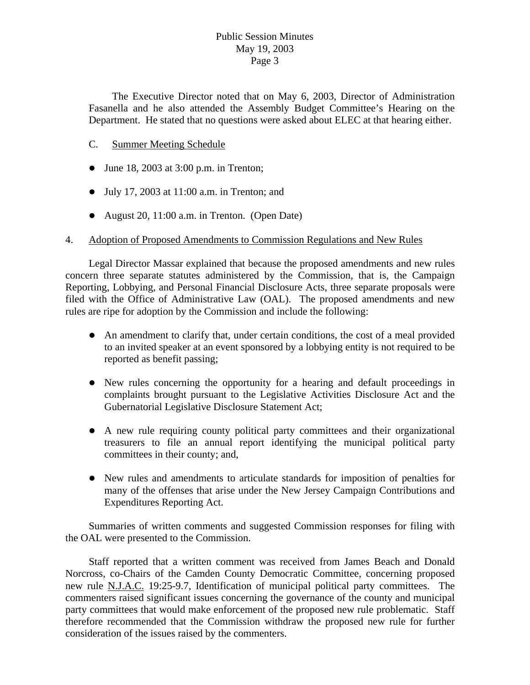The Executive Director noted that on May 6, 2003, Director of Administration Fasanella and he also attended the Assembly Budget Committee's Hearing on the Department. He stated that no questions were asked about ELEC at that hearing either.

# C. Summer Meeting Schedule

- $\bullet$  June 18, 2003 at 3:00 p.m. in Trenton;
- $\bullet$  July 17, 2003 at 11:00 a.m. in Trenton; and
- August 20, 11:00 a.m. in Trenton. (Open Date)

## 4. Adoption of Proposed Amendments to Commission Regulations and New Rules

 Legal Director Massar explained that because the proposed amendments and new rules concern three separate statutes administered by the Commission, that is, the Campaign Reporting, Lobbying, and Personal Financial Disclosure Acts, three separate proposals were filed with the Office of Administrative Law (OAL). The proposed amendments and new rules are ripe for adoption by the Commission and include the following:

- $\bullet$  An amendment to clarify that, under certain conditions, the cost of a meal provided to an invited speaker at an event sponsored by a lobbying entity is not required to be reported as benefit passing;
- New rules concerning the opportunity for a hearing and default proceedings in complaints brought pursuant to the Legislative Activities Disclosure Act and the Gubernatorial Legislative Disclosure Statement Act;
- A new rule requiring county political party committees and their organizational treasurers to file an annual report identifying the municipal political party committees in their county; and,
- New rules and amendments to articulate standards for imposition of penalties for many of the offenses that arise under the New Jersey Campaign Contributions and Expenditures Reporting Act.

 Summaries of written comments and suggested Commission responses for filing with the OAL were presented to the Commission.

 Staff reported that a written comment was received from James Beach and Donald Norcross, co-Chairs of the Camden County Democratic Committee, concerning proposed new rule N.J.A.C. 19:25-9.7, Identification of municipal political party committees. The commenters raised significant issues concerning the governance of the county and municipal party committees that would make enforcement of the proposed new rule problematic. Staff therefore recommended that the Commission withdraw the proposed new rule for further consideration of the issues raised by the commenters.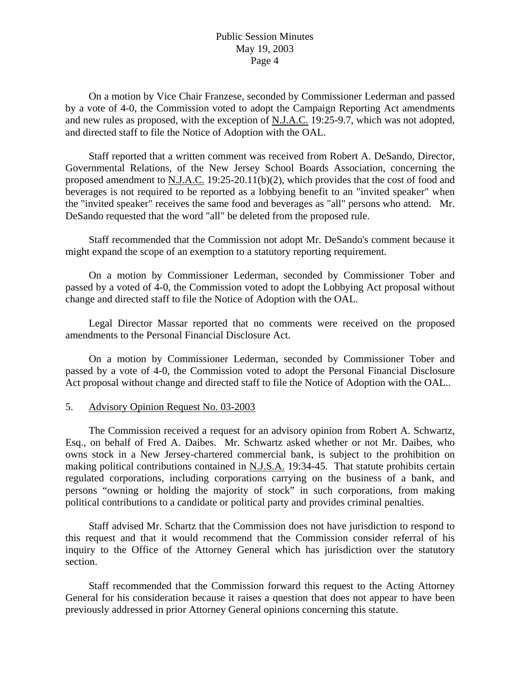On a motion by Vice Chair Franzese, seconded by Commissioner Lederman and passed by a vote of 4-0, the Commission voted to adopt the Campaign Reporting Act amendments and new rules as proposed, with the exception of N.J.A.C. 19:25-9.7, which was not adopted, and directed staff to file the Notice of Adoption with the OAL.

 Staff reported that a written comment was received from Robert A. DeSando, Director, Governmental Relations, of the New Jersey School Boards Association, concerning the proposed amendment to N.J.A.C. 19:25-20.11(b)(2), which provides that the cost of food and beverages is not required to be reported as a lobbying benefit to an "invited speaker" when the "invited speaker" receives the same food and beverages as "all" persons who attend. Mr. DeSando requested that the word "all" be deleted from the proposed rule.

 Staff recommended that the Commission not adopt Mr. DeSando's comment because it might expand the scope of an exemption to a statutory reporting requirement.

 On a motion by Commissioner Lederman, seconded by Commissioner Tober and passed by a voted of 4-0, the Commission voted to adopt the Lobbying Act proposal without change and directed staff to file the Notice of Adoption with the OAL.

 Legal Director Massar reported that no comments were received on the proposed amendments to the Personal Financial Disclosure Act.

 On a motion by Commissioner Lederman, seconded by Commissioner Tober and passed by a vote of 4-0, the Commission voted to adopt the Personal Financial Disclosure Act proposal without change and directed staff to file the Notice of Adoption with the OAL..

### 5. Advisory Opinion Request No. 03-2003

 The Commission received a request for an advisory opinion from Robert A. Schwartz, Esq., on behalf of Fred A. Daibes. Mr. Schwartz asked whether or not Mr. Daibes, who owns stock in a New Jersey-chartered commercial bank, is subject to the prohibition on making political contributions contained in N.J.S.A. 19:34-45. That statute prohibits certain regulated corporations, including corporations carrying on the business of a bank, and persons "owning or holding the majority of stock" in such corporations, from making political contributions to a candidate or political party and provides criminal penalties.

 Staff advised Mr. Schartz that the Commission does not have jurisdiction to respond to this request and that it would recommend that the Commission consider referral of his inquiry to the Office of the Attorney General which has jurisdiction over the statutory section.

 Staff recommended that the Commission forward this request to the Acting Attorney General for his consideration because it raises a question that does not appear to have been previously addressed in prior Attorney General opinions concerning this statute.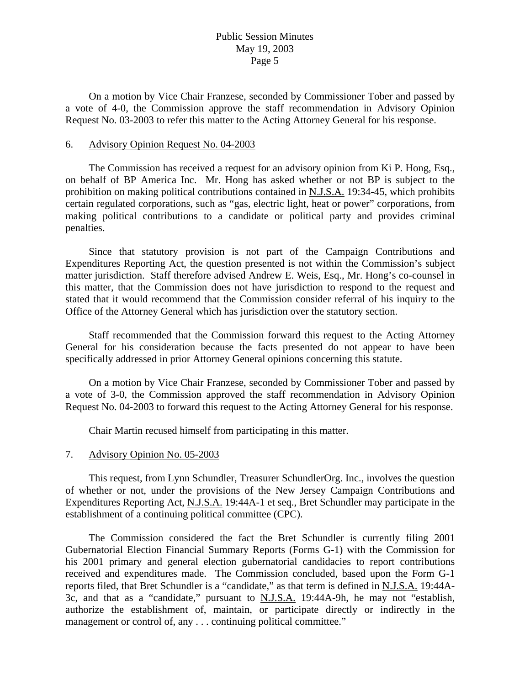On a motion by Vice Chair Franzese, seconded by Commissioner Tober and passed by a vote of 4-0, the Commission approve the staff recommendation in Advisory Opinion Request No. 03-2003 to refer this matter to the Acting Attorney General for his response.

#### 6. Advisory Opinion Request No. 04-2003

 The Commission has received a request for an advisory opinion from Ki P. Hong, Esq., on behalf of BP America Inc. Mr. Hong has asked whether or not BP is subject to the prohibition on making political contributions contained in N.J.S.A. 19:34-45, which prohibits certain regulated corporations, such as "gas, electric light, heat or power" corporations, from making political contributions to a candidate or political party and provides criminal penalties.

 Since that statutory provision is not part of the Campaign Contributions and Expenditures Reporting Act, the question presented is not within the Commission's subject matter jurisdiction. Staff therefore advised Andrew E. Weis, Esq., Mr. Hong's co-counsel in this matter, that the Commission does not have jurisdiction to respond to the request and stated that it would recommend that the Commission consider referral of his inquiry to the Office of the Attorney General which has jurisdiction over the statutory section.

 Staff recommended that the Commission forward this request to the Acting Attorney General for his consideration because the facts presented do not appear to have been specifically addressed in prior Attorney General opinions concerning this statute.

 On a motion by Vice Chair Franzese, seconded by Commissioner Tober and passed by a vote of 3-0, the Commission approved the staff recommendation in Advisory Opinion Request No. 04-2003 to forward this request to the Acting Attorney General for his response.

Chair Martin recused himself from participating in this matter.

#### 7. Advisory Opinion No. 05-2003

 This request, from Lynn Schundler, Treasurer SchundlerOrg. Inc., involves the question of whether or not, under the provisions of the New Jersey Campaign Contributions and Expenditures Reporting Act, N.J.S.A. 19:44A-1 et seq., Bret Schundler may participate in the establishment of a continuing political committee (CPC).

 The Commission considered the fact the Bret Schundler is currently filing 2001 Gubernatorial Election Financial Summary Reports (Forms G-1) with the Commission for his 2001 primary and general election gubernatorial candidacies to report contributions received and expenditures made. The Commission concluded, based upon the Form G-1 reports filed, that Bret Schundler is a "candidate," as that term is defined in N.J.S.A. 19:44A-3c, and that as a "candidate," pursuant to N.J.S.A. 19:44A-9h, he may not "establish, authorize the establishment of, maintain, or participate directly or indirectly in the management or control of, any . . . continuing political committee."